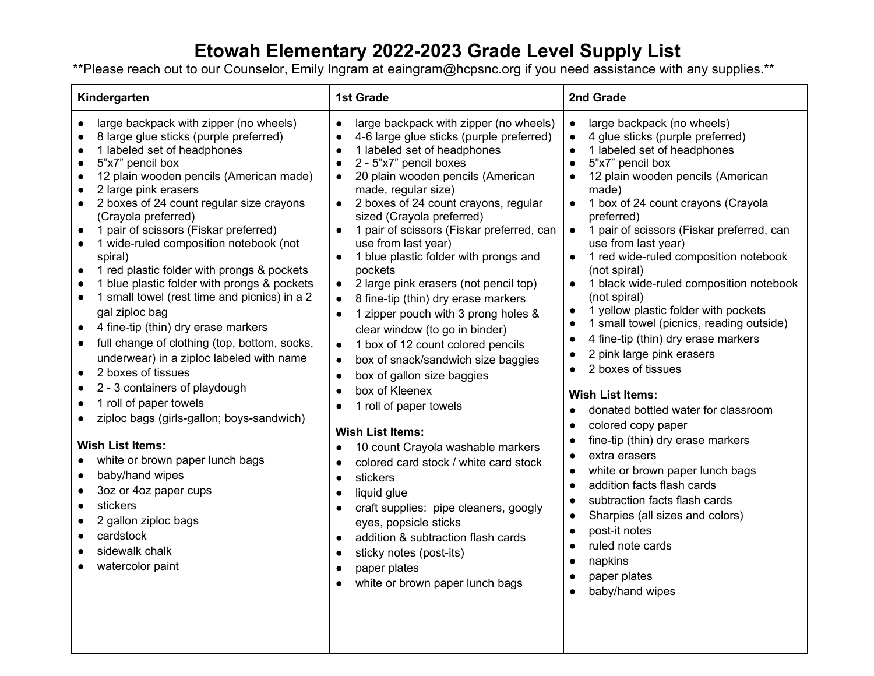## **Etowah Elementary 2022-2023 Grade Level Supply List**

\*\*Please reach out to our Counselor, Emily Ingram at eaingram@hcpsnc.org if you need assistance with any supplies.\*\*

| Kindergarten                                                                                                                                                                                                                                                                                                                                                                                                                                                                                                                                                                                                                                                                                                                                                                                                                                                                                                                                                                                                                                                                                                                                                                                                                                                                 | <b>1st Grade</b>                                                                                                                                                                                                                                                                                                                                                                                                                                                                                                                                                                                                                                                                                                                                                                                                                                                                                                                                                                                                                                                                                                                                                               | 2nd Grade                                                                                                                                                                                                                                                                                                                                                                                                                                                                                                                                                                                                                                                                                                                                                                                                                                                                                                                                                                                                                                                                                                                                                                                    |
|------------------------------------------------------------------------------------------------------------------------------------------------------------------------------------------------------------------------------------------------------------------------------------------------------------------------------------------------------------------------------------------------------------------------------------------------------------------------------------------------------------------------------------------------------------------------------------------------------------------------------------------------------------------------------------------------------------------------------------------------------------------------------------------------------------------------------------------------------------------------------------------------------------------------------------------------------------------------------------------------------------------------------------------------------------------------------------------------------------------------------------------------------------------------------------------------------------------------------------------------------------------------------|--------------------------------------------------------------------------------------------------------------------------------------------------------------------------------------------------------------------------------------------------------------------------------------------------------------------------------------------------------------------------------------------------------------------------------------------------------------------------------------------------------------------------------------------------------------------------------------------------------------------------------------------------------------------------------------------------------------------------------------------------------------------------------------------------------------------------------------------------------------------------------------------------------------------------------------------------------------------------------------------------------------------------------------------------------------------------------------------------------------------------------------------------------------------------------|----------------------------------------------------------------------------------------------------------------------------------------------------------------------------------------------------------------------------------------------------------------------------------------------------------------------------------------------------------------------------------------------------------------------------------------------------------------------------------------------------------------------------------------------------------------------------------------------------------------------------------------------------------------------------------------------------------------------------------------------------------------------------------------------------------------------------------------------------------------------------------------------------------------------------------------------------------------------------------------------------------------------------------------------------------------------------------------------------------------------------------------------------------------------------------------------|
| large backpack with zipper (no wheels)<br>$\bullet$<br>8 large glue sticks (purple preferred)<br>$\bullet$<br>1 labeled set of headphones<br>$\bullet$<br>5"x7" pencil box<br>$\bullet$<br>12 plain wooden pencils (American made)<br>2 large pink erasers<br>$\bullet$<br>2 boxes of 24 count regular size crayons<br>$\bullet$<br>(Crayola preferred)<br>1 pair of scissors (Fiskar preferred)<br>1 wide-ruled composition notebook (not<br>$\bullet$<br>spiral)<br>1 red plastic folder with prongs & pockets<br>$\bullet$<br>1 blue plastic folder with prongs & pockets<br>1 small towel (rest time and picnics) in a 2<br>$\bullet$<br>gal ziploc bag<br>4 fine-tip (thin) dry erase markers<br>$\bullet$<br>full change of clothing (top, bottom, socks,<br>$\bullet$<br>underwear) in a ziploc labeled with name<br>2 boxes of tissues<br>$\bullet$<br>2 - 3 containers of playdough<br>$\bullet$<br>1 roll of paper towels<br>$\bullet$<br>ziploc bags (girls-gallon; boys-sandwich)<br><b>Wish List Items:</b><br>white or brown paper lunch bags<br>baby/hand wipes<br>$\bullet$<br>3oz or 4oz paper cups<br>$\bullet$<br>stickers<br>$\bullet$<br>2 gallon ziploc bags<br>$\bullet$<br>cardstock<br>$\bullet$<br>sidewalk chalk<br>$\bullet$<br>watercolor paint | large backpack with zipper (no wheels)<br>4-6 large glue sticks (purple preferred)<br>1 labeled set of headphones<br>2 - 5"x7" pencil boxes<br>20 plain wooden pencils (American<br>made, regular size)<br>2 boxes of 24 count crayons, regular<br>$\bullet$<br>sized (Crayola preferred)<br>1 pair of scissors (Fiskar preferred, can<br>use from last year)<br>1 blue plastic folder with prongs and<br>$\bullet$<br>pockets<br>2 large pink erasers (not pencil top)<br>8 fine-tip (thin) dry erase markers<br>1 zipper pouch with 3 prong holes &<br>$\bullet$<br>clear window (to go in binder)<br>1 box of 12 count colored pencils<br>$\bullet$<br>box of snack/sandwich size baggies<br>$\bullet$<br>box of gallon size baggies<br>$\bullet$<br>box of Kleenex<br>1 roll of paper towels<br><b>Wish List Items:</b><br>10 count Crayola washable markers<br>$\bullet$<br>colored card stock / white card stock<br>$\bullet$<br>stickers<br>$\bullet$<br>liquid glue<br>$\bullet$<br>craft supplies: pipe cleaners, googly<br>eyes, popsicle sticks<br>addition & subtraction flash cards<br>sticky notes (post-its)<br>paper plates<br>white or brown paper lunch bags | large backpack (no wheels)<br>$\bullet$<br>4 glue sticks (purple preferred)<br>$\bullet$<br>1 labeled set of headphones<br>$\bullet$<br>5"x7" pencil box<br>12 plain wooden pencils (American<br>made)<br>1 box of 24 count crayons (Crayola<br>$\bullet$<br>preferred)<br>1 pair of scissors (Fiskar preferred, can<br>$\bullet$<br>use from last year)<br>1 red wide-ruled composition notebook<br>$\bullet$<br>(not spiral)<br>1 black wide-ruled composition notebook<br>$\bullet$<br>(not spiral)<br>1 yellow plastic folder with pockets<br>$\bullet$<br>1 small towel (picnics, reading outside)<br>$\bullet$<br>4 fine-tip (thin) dry erase markers<br>2 pink large pink erasers<br>2 boxes of tissues<br><b>Wish List Items:</b><br>donated bottled water for classroom<br>$\bullet$<br>colored copy paper<br>$\bullet$<br>fine-tip (thin) dry erase markers<br>extra erasers<br>$\bullet$<br>white or brown paper lunch bags<br>addition facts flash cards<br>$\bullet$<br>subtraction facts flash cards<br>$\bullet$<br>Sharpies (all sizes and colors)<br>$\bullet$<br>post-it notes<br>$\bullet$<br>ruled note cards<br>$\bullet$<br>napkins<br>paper plates<br>baby/hand wipes |